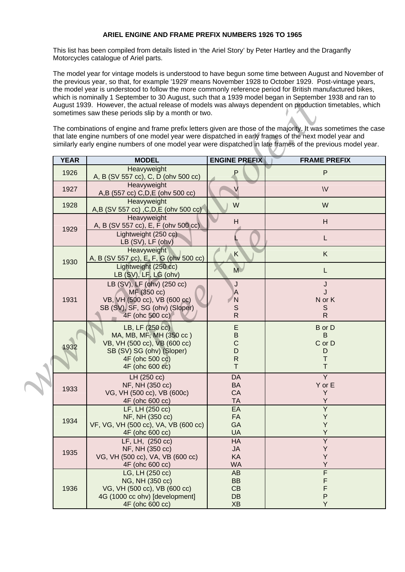## **ARIEL ENGINE AND FRAME PREFIX NUMBERS 1926 TO 1965**

This list has been compiled from details listed in 'the Ariel Story' by Peter Hartley and the Draganfly Motorcycles catalogue of Ariel parts.

The model year for vintage models is understood to have begun some time between August and November of the previous year, so that, for example '1929' means November 1928 to October 1929. Post-vintage years, the model year is understood to follow the more commonly reference period for British manufactured bikes, which is nominally 1 September to 30 August, such that a 1939 model began in September 1938 and ran to August 1939. However, the actual release of models was always dependent on production timetables, which sometimes saw these periods slip by a month or two.

|  | which is nominally a september to so August, such that a 1959 mouer began in september 1950 and fair to<br>August 1939. However, the actual release of models was always dependent on production timetables, which<br>sometimes saw these periods slip by a month or two.                                                              |                                                                                                                                                                  |                                                                  |                                                             |  |  |  |  |  |  |  |
|--|----------------------------------------------------------------------------------------------------------------------------------------------------------------------------------------------------------------------------------------------------------------------------------------------------------------------------------------|------------------------------------------------------------------------------------------------------------------------------------------------------------------|------------------------------------------------------------------|-------------------------------------------------------------|--|--|--|--|--|--|--|
|  | The combinations of engine and frame prefix letters given are those of the majority. It was sometimes the case<br>that late engine numbers of one model year were dispatched in early frames of the next model year and<br>similarly early engine numbers of one model year were dispatched in late frames of the previous model year. |                                                                                                                                                                  |                                                                  |                                                             |  |  |  |  |  |  |  |
|  | <b>YEAR</b>                                                                                                                                                                                                                                                                                                                            | <b>MODEL</b>                                                                                                                                                     | <b>ENGINE PREFIX</b>                                             | <b>FRAME PREFIX</b>                                         |  |  |  |  |  |  |  |
|  | 1926                                                                                                                                                                                                                                                                                                                                   | Heavyweight<br>A, B (SV 557 cc), C, D (ohv 500 cc)                                                                                                               | Р                                                                | $\mathsf{P}$                                                |  |  |  |  |  |  |  |
|  | 1927                                                                                                                                                                                                                                                                                                                                   | Heavyweight<br>A,B (557 cc) C,D,E (ohv 500 cc)                                                                                                                   | V                                                                | W                                                           |  |  |  |  |  |  |  |
|  | 1928                                                                                                                                                                                                                                                                                                                                   | Heavyweight<br>A,B (SV 557 cc), C,D,E (ohv 500 cc)                                                                                                               | W                                                                | W                                                           |  |  |  |  |  |  |  |
|  | 1929                                                                                                                                                                                                                                                                                                                                   | Heavyweight<br>A, B (SV 557 cc), E, F (ohv 500 cc)                                                                                                               | H                                                                | H                                                           |  |  |  |  |  |  |  |
|  |                                                                                                                                                                                                                                                                                                                                        | Lightweight (250 cc)<br>LB (SV), LF (ohv)                                                                                                                        |                                                                  | L                                                           |  |  |  |  |  |  |  |
|  | 1930                                                                                                                                                                                                                                                                                                                                   | Heavyweight<br>A, B (SV 557 cc), E, F, G (ohv 500 cc)                                                                                                            | $\overline{\mathsf{K}}$                                          | K                                                           |  |  |  |  |  |  |  |
|  |                                                                                                                                                                                                                                                                                                                                        | Lightweight (250 cc)<br>LB (SV), LF, LG (ohv)                                                                                                                    | M                                                                | L                                                           |  |  |  |  |  |  |  |
|  | 1931                                                                                                                                                                                                                                                                                                                                   | LB (SV), LF (ohv) (250 cc)<br>MF (350 cc)<br>VB, VH (500 cc), VB (600 cc)<br>SB (SV), SF, SG (ohv) (Sloper)                                                      | J<br>A<br>N<br>S                                                 | J<br>J<br>N or K<br>S                                       |  |  |  |  |  |  |  |
|  | 1932                                                                                                                                                                                                                                                                                                                                   | 4F (ohc 500 cc)<br>LB, LF (250 cc)<br>MA, MB, MF, MH (350 cc)<br>VB, VH (500 cc), VB (600 cc)<br>SB (SV) SG (ohv) (Sloper)<br>4F (ohc 500 cc)<br>4F (ohc 600 cc) | ${\sf R}$<br>E<br>$\sf B$<br>$\mathsf{C}$<br>D<br>${\sf R}$<br>T | R.<br><b>B</b> or D<br>B<br>C or D<br>D<br>Τ<br>$\mathsf T$ |  |  |  |  |  |  |  |
|  | 1933                                                                                                                                                                                                                                                                                                                                   | LH (250 cc)<br>NF, NH (350 cc)<br>VG, VH (500 cc), VB (600c)<br>4F (ohc 600 cc)                                                                                  | DA<br><b>BA</b><br>CA<br>TA                                      | Y<br>Y or E<br>Y<br>Y                                       |  |  |  |  |  |  |  |
|  | 1934                                                                                                                                                                                                                                                                                                                                   | LF, LH (250 cc)<br>NF, NH (350 cc)<br>VF, VG, VH (500 cc), VA, VB (600 cc)<br>4F (ohc 600 cc)                                                                    | EA<br><b>FA</b><br>GA<br><b>UA</b>                               | Y<br>Y<br>Y<br>Y                                            |  |  |  |  |  |  |  |
|  | 1935                                                                                                                                                                                                                                                                                                                                   | LF, LH, (250 cc)<br>NF, NH (350 cc)<br>VG, VH (500 cc), VA, VB (600 cc)<br>4F (ohc 600 cc)                                                                       | HA<br><b>JA</b><br>KA<br><b>WA</b>                               | Y<br>Υ<br>Υ<br>Y                                            |  |  |  |  |  |  |  |
|  | 1936                                                                                                                                                                                                                                                                                                                                   | LG, LH (250 cc)<br>NG, NH (350 cc)<br>VG, VH (500 cc), VB (600 cc)<br>4G (1000 cc ohv) [development]<br>4F (ohc 600 cc)                                          | AB<br><b>BB</b><br>CB<br><b>DB</b><br><b>XB</b>                  | F<br>F<br>F<br>$\sf P$<br>Y                                 |  |  |  |  |  |  |  |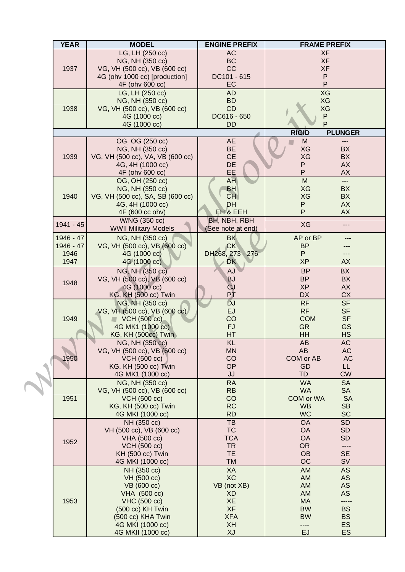|  | <b>YEAR</b> | <b>MODEL</b>                                    | <b>ENGINE PREFIX</b>   | <b>FRAME PREFIX</b>                              |
|--|-------------|-------------------------------------------------|------------------------|--------------------------------------------------|
|  |             | LG, LH (250 cc)                                 | <b>AC</b>              | <b>XF</b>                                        |
|  |             | NG, NH (350 cc)                                 | <b>BC</b>              | <b>XF</b>                                        |
|  | 1937        | VG, VH (500 cc), VB (600 cc)                    | CC                     | <b>XF</b>                                        |
|  |             | 4G (ohv 1000 cc) [production]                   | DC101 - 615            | ${\sf P}$                                        |
|  |             | 4F (ohv 600 cc)                                 | EC                     | P                                                |
|  |             | LG, LH (250 cc)                                 | <b>AD</b>              | <b>XG</b>                                        |
|  | 1938        | NG, NH (350 cc)                                 | <b>BD</b>              | XG                                               |
|  |             | VG, VH (500 cc), VB (600 cc)                    | CD<br>DC616 - 650      | XG<br>${\sf P}$                                  |
|  |             | 4G (1000 cc)<br>4G (1000 cc)                    | <b>DD</b>              | P                                                |
|  |             |                                                 |                        | <b>RIGID</b><br><b>PLUNGER</b>                   |
|  |             | OG, OG (250 cc)                                 | <b>AE</b>              | M                                                |
|  | 1939        | NG, NH (350 cc)                                 | <b>BE</b>              | XG<br><b>BX</b>                                  |
|  |             | VG, VH (500 cc), VA, VB (600 cc)                | <b>CE</b>              | XG<br>BX                                         |
|  |             | 4G, 4H (1000 cc)                                | DE                     | Ρ<br><b>AX</b>                                   |
|  |             | 4F (ohv 600 cc)                                 | EE                     | P<br><b>AX</b>                                   |
|  |             | OG, OH (250 cc)                                 | <b>AH</b>              | M<br>$---$                                       |
|  |             | NG, NH (350 cc)                                 | <b>BH</b>              | XG<br><b>BX</b>                                  |
|  | 1940        | VG, VH (500 cc), SA, SB (600 cc)                | <b>CH</b>              | XG<br><b>BX</b>                                  |
|  |             | 4G, 4H (1000 cc)                                | DH                     | $\mathsf{P}$<br><b>AX</b>                        |
|  |             | 4F (600 cc ohv)                                 | <b>EH &amp; EEH</b>    | P<br><b>AX</b>                                   |
|  | 1941 - 45   | W/NG (350 cc)                                   | <b>BH, NBH, RBH</b>    | XG<br>$---$                                      |
|  |             | <b>WWII Military Models</b>                     | (See note at end)      |                                                  |
|  | 1946 - 47   | NG, NH (350 cc)                                 | <b>BK</b>              | AP or BP                                         |
|  | 1946 - 47   | VG, VH (500 cc), VB (600 cc)                    | <b>CK</b>              | <b>BP</b>                                        |
|  | 1946        | 4G (1000 cc)                                    | DH268, 273 - 276       | P                                                |
|  | 1947        | 4G (1000 cc)                                    | <b>DK</b>              | <b>XP</b><br><b>AX</b>                           |
|  |             | NG, NH (350 cc)                                 | AJ                     | <b>BP</b><br><b>BX</b>                           |
|  | 1948        | VG, VH (500 cc), VB (600 cc)                    | <b>BJ</b>              | <b>BP</b><br><b>BX</b>                           |
|  |             | 4G (1000 cc)                                    | <b>CJ</b>              | <b>XP</b><br><b>AX</b>                           |
|  |             | <b>KG, KH (500 cc) Twin</b>                     | РŤ                     | <b>DX</b><br><b>CX</b><br><b>SF</b>              |
|  | 1949        | NG, NH (350 cc)<br>VG, VH (500 cc), VB (600 cc) | <b>DJ</b><br>EJ        | RF<br>RF<br><b>SF</b>                            |
|  |             | $\blacksquare$ VCH (500 cc)                     | CO                     | <b>COM</b><br><b>SF</b>                          |
|  |             | 4G MK1 (1000 cc)                                | <b>FJ</b>              | <b>GR</b><br><b>GS</b>                           |
|  |             | <b>KG, KH (500cc) Twin</b>                      | <b>HT</b>              | HH<br><b>HS</b>                                  |
|  |             | NG, NH (350 cc)                                 | <b>KL</b>              | <b>AC</b><br><b>AB</b>                           |
|  |             | VG, VH (500 cc), VB (600 cc)                    | <b>MN</b>              | <b>AB</b><br>AC                                  |
|  | 1950        | <b>VCH (500 cc)</b>                             | CO                     | COM or AB<br>AC                                  |
|  |             | <b>KG, KH (500 cc) Twin</b>                     | OP                     | GD<br>LL.                                        |
|  |             | 4G MK1 (1000 cc)                                | JJ                     | <b>TD</b><br><b>CW</b>                           |
|  | 1951        | NG, NH (350 cc)                                 | <b>RA</b>              | <b>WA</b><br><b>SA</b>                           |
|  |             | VG, VH (500 cc), VB (600 cc)                    | <b>RB</b>              | <b>WA</b><br><b>SA</b>                           |
|  |             | <b>VCH (500 cc)</b>                             | CO                     | <b>COM or WA</b><br><b>SA</b>                    |
|  |             | <b>KG, KH (500 cc) Twin</b>                     | <b>RC</b>              | <b>WB</b><br><b>SB</b>                           |
|  |             | 4G MKI (1000 cc)                                | <b>RD</b>              | <b>WC</b><br><b>SC</b>                           |
|  | 1952        | NH (350 cc)<br>VH (500 cc), VB (600 cc)         | <b>TB</b><br><b>TC</b> | <b>OA</b><br><b>SD</b><br><b>OA</b><br><b>SD</b> |
|  |             | VHA (500 cc)                                    | <b>TCA</b>             | <b>OA</b><br><b>SD</b>                           |
|  |             | <b>VCH (500 cc)</b>                             | <b>TR</b>              | <b>OR</b><br>----                                |
|  |             | <b>KH (500 cc) Twin</b>                         | <b>TE</b>              | OB<br><b>SE</b>                                  |
|  |             | 4G MKI (1000 cc)                                | <b>TM</b>              | OC<br><b>SV</b>                                  |
|  | 1953        | NH (350 cc)                                     | XA                     | AM<br><b>AS</b>                                  |
|  |             | VH (500 cc)                                     | <b>XC</b>              | AM<br>AS                                         |
|  |             | VB (600 cc)                                     | VB (not XB)            | AM<br>AS                                         |
|  |             | VHA (500 cc)                                    | XD                     | AM<br>AS                                         |
|  |             | VHC (500 cc)                                    | <b>XE</b>              | <b>MA</b><br>-----                               |
|  |             | (500 cc) KH Twin                                | <b>XF</b>              | <b>BW</b><br><b>BS</b>                           |
|  |             | (500 cc) KHA Twin                               | <b>XFA</b>             | <b>BW</b><br><b>BS</b>                           |
|  |             | 4G MKI (1000 cc)                                | XH<br>XJ               | <b>ES</b><br>----<br>EJ<br><b>ES</b>             |
|  |             | 4G MKII (1000 cc)                               |                        |                                                  |